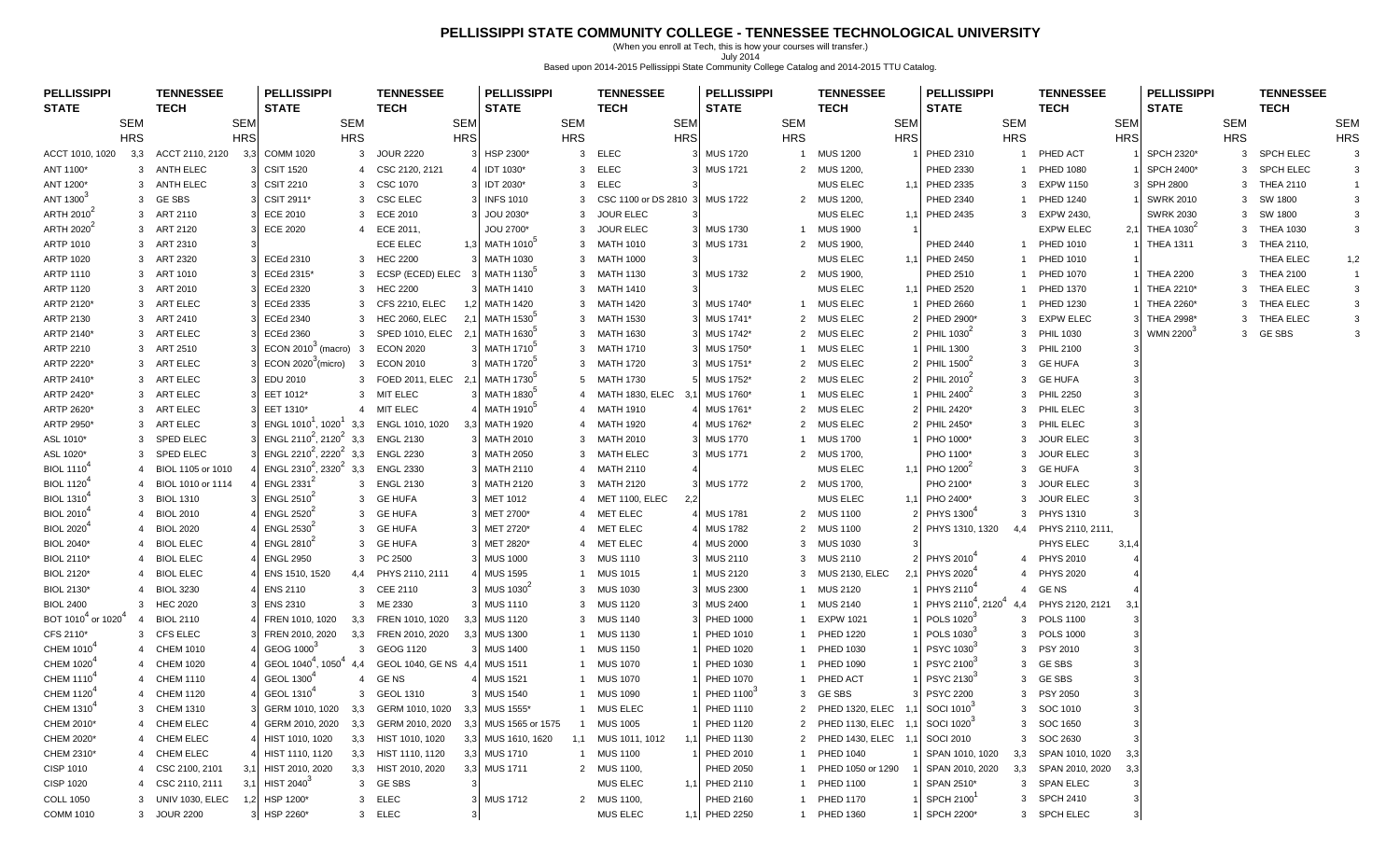## **PELLISSIPPI STATE COMMUNITY COLLEGE - TENNESSEE TECHNOLOGICAL UNIVERSITY**

(When you enroll at Tech, this is how your courses will transfer.) July 2014 Based upon 2014-2015 Pellissippi State Community College Catalog and 2014-2015 TTU Catalog.

| <b>PELLISSIPPI</b><br><b>STATE</b>         |                | <b>TENNESSEE</b><br><b>TECH</b> |            | <b>PELLISSIPPI</b><br><b>STATE</b>             |                         | <b>TENNESSEE</b><br><b>TECH</b> |            | <b>PELLISSIPPI</b><br><b>STATE</b> |            | <b>TENNESSEE</b><br><b>TECH</b> |            | <b>PELLISSIPPI</b><br><b>STATE</b> |            | <b>TENNESSEE</b><br>TECH        |            | <b>PELLISSIPPI</b><br><b>STATE</b>         |                | <b>TENNESSEE</b><br><b>TECH</b> |            | <b>PELLISSIPPI</b><br><b>STATE</b> |            | <b>TENNESSEE</b><br><b>TECH</b> |                |
|--------------------------------------------|----------------|---------------------------------|------------|------------------------------------------------|-------------------------|---------------------------------|------------|------------------------------------|------------|---------------------------------|------------|------------------------------------|------------|---------------------------------|------------|--------------------------------------------|----------------|---------------------------------|------------|------------------------------------|------------|---------------------------------|----------------|
|                                            | <b>SEM</b>     |                                 | <b>SEM</b> |                                                | SEM                     |                                 | SEM        |                                    | <b>SEM</b> |                                 | <b>SEM</b> |                                    | <b>SEM</b> |                                 | <b>SEM</b> |                                            | SEM            |                                 | <b>SEM</b> |                                    | SEM        |                                 | <b>SEM</b>     |
|                                            | <b>HRS</b>     |                                 | <b>HRS</b> |                                                | <b>HRS</b>              |                                 | <b>HRS</b> |                                    | <b>HRS</b> |                                 | <b>HRS</b> |                                    | <b>HRS</b> |                                 | <b>HRS</b> |                                            | <b>HRS</b>     |                                 | <b>HRS</b> |                                    | <b>HRS</b> |                                 | <b>HRS</b>     |
| ACCT 1010, 1020                            |                | 3,3 ACCT 2110, 2120             | 3,3        | <b>COMM 1020</b>                               | 3                       | <b>JOUR 2220</b>                | 31         | HSP 2300*                          |            | 3 ELEC                          |            | 3 MUS 1720                         |            | 1 MUS 1200                      |            | <b>PHED 2310</b>                           | $\overline{1}$ | PHED ACT                        |            | SPCH 2320*                         |            | 3 SPCH ELEC                     | 3              |
| ANT 1100*                                  |                | 3 ANTH ELEC                     |            | <b>CSIT 1520</b>                               | 4                       | CSC 2120, 2121                  |            | IDT 1030*                          |            | 3 ELEC                          |            | 3 MUS 1721                         |            | 2 MUS 1200,                     |            | PHED 2330                                  | -1             | <b>PHED 1080</b>                |            | SPCH 2400*                         | 3          | <b>SPCH ELEC</b>                | 3              |
| ANT 1200*                                  |                | 3 ANTH ELEC                     |            | <b>CSIT 2210</b>                               | 3                       | CSC 1070                        |            | 3 IDT 2030*                        |            | 3 ELEC                          |            |                                    |            | MUS ELEC                        |            | 1,1 PHED 2335                              | 3              | <b>EXPW 1150</b>                |            | <b>SPH 2800</b>                    |            | 3 THEA 2110                     | $\overline{1}$ |
| ANT 1300 <sup>3</sup>                      |                | 3 GESBS                         |            | CSIT 2911*                                     |                         | 3 CSC ELEC                      |            | 3 INFS 1010                        |            | 3 CSC 1100 or DS 2810 3         |            | <b>MUS 1722</b>                    |            | 2 MUS 1200,                     |            | PHED 2340                                  |                | <b>PHED 1240</b>                |            | <b>SWRK 2010</b>                   |            | 3 SW 1800                       | 3              |
| ARTH 2010 <sup>-</sup>                     |                | 3 ART 2110                      |            | ECE 2010                                       |                         | 3 ECE 2010                      |            | JOU 2030*                          |            | 3 JOUR ELEC                     |            |                                    |            | MUS ELEC                        |            | 1,1 PHED 2435                              | 3              | EXPW 2430,                      |            | <b>SWRK 2030</b>                   |            | 3 SW 1800                       | 3              |
| ARTH 2020                                  |                | 3 ART 2120                      |            | <b>ECE 2020</b>                                |                         | 4 ECE 2011,                     |            | JOU 2700*                          |            | 3 JOUR ELEC                     |            | 3 MUS 1730                         |            | 1 MUS 1900                      |            |                                            |                | <b>EXPW ELEC</b>                | 2,1        | THEA 1030 <sup>4</sup>             |            | 3 THEA 1030                     | 3              |
| ARTP 1010                                  |                | 3 ART 2310                      |            |                                                |                         | <b>ECE ELEC</b>                 |            | 1,3 MATH 1010 <sup>3</sup>         |            | 3 MATH 1010                     |            | 3 MUS 1731                         |            | 2 MUS 1900,                     |            | <b>PHED 2440</b>                           |                | <b>PHED 1010</b>                |            | <b>THEA 1311</b>                   |            | 3 THEA 2110,                    |                |
| ARTP 1020                                  |                | 3 ART 2320                      |            | <b>ECEd 2310</b>                               |                         | 3 HEC 2200                      |            | <b>MATH 1030</b>                   |            | 3 MATH 1000                     | 3          |                                    |            | <b>MUS ELEC</b>                 |            | 1,1 PHED 2450                              |                | <b>PHED 1010</b>                |            |                                    |            | THEA ELEC                       | 1,2            |
| ARTP 1110                                  |                | 3 ART 1010                      |            | ECEd 2315*                                     |                         | 3 ECSP (ECED) ELEC              |            | MATH 1130                          |            | 3 MATH 1130                     |            | 3 MUS 1732                         |            | 2 MUS 1900,                     |            | PHED 2510                                  |                | 1 PHED 1070                     |            | <b>THEA 2200</b>                   |            | 3 THEA 2100                     | $\overline{1}$ |
| <b>ARTP 1120</b>                           |                | 3 ART 2010                      |            | ECEd 2320                                      |                         | 3 HEC 2200                      |            | <b>MATH 1410</b>                   |            | 3 MATH 1410                     |            |                                    |            | MUS ELEC                        |            | 1,1 PHED 2520                              |                | <b>PHED 1370</b>                |            | THEA 2210*                         |            | 3 THEA ELEC                     | 3              |
| ARTP 2120*                                 |                | 3 ART ELEC                      |            | <b>ECEd 2335</b>                               | 3                       | <b>CFS 2210, ELEC</b>           | 1.2        | <b>MATH 1420</b>                   |            | 3 MATH 1420                     |            | 3 MUS 1740*                        |            | 1 MUS ELEC                      |            | <b>PHED 2660</b>                           |                | PHED 1230                       |            | THEA 2260*                         |            | 3 THEA ELEC                     | 3              |
| ARTP 2130                                  |                | 3 ART 2410                      |            | <b>ECEd 2340</b>                               |                         | 3 HEC 2060, ELEC                | 2,1        | MATH 1530                          |            | 3 MATH 1530                     |            | 3 MUS 1741*                        |            | 2 MUS ELEC                      |            | PHED 2900*                                 | 3              | <b>EXPW ELEC</b>                |            | THEA 2998*                         |            | 3 THEA ELEC                     | 3              |
| ARTP 2140*                                 |                | 3 ART ELEC                      |            | <b>ECEd 2360</b>                               | 3                       | SPED 1010, ELEC                 | 2,1        | MATH 1630 <sup>3</sup>             |            | 3 MATH 1630                     |            | 3 MUS 1742*                        |            | 2 MUS ELEC                      |            | PHIL 1030 <sup>2</sup>                     | 3              | <b>PHIL 1030</b>                |            | WMN 2200 <sup>3</sup>              |            | 3 GESBS                         | 3              |
| ARTP 2210                                  |                | 3 ART 2510                      |            | ECON 2010 <sup>°</sup> (macro)                 | $\overline{\mathbf{3}}$ | <b>ECON 2020</b>                |            | 3 MATH 1710                        |            | 3 MATH 1710                     |            | 3 MUS 1750*                        |            | 1 MUS ELEC                      |            | <b>PHIL 1300</b>                           |                | 3 PHIL 2100                     |            |                                    |            |                                 |                |
| ARTP 2220*                                 |                | 3 ART ELEC                      |            | ECON 2020 <sup>°</sup> (micro)                 | 3                       | <b>ECON 2010</b>                |            | MATH 1720                          |            | 3 MATH 1720                     |            | MUS 1751*                          |            | 2 MUS ELEC                      |            | <b>PHIL 1500</b> <sup>-</sup>              | 3              | <b>GE HUFA</b>                  |            |                                    |            |                                 |                |
| ARTP 2410*                                 |                | 3 ART ELEC                      |            | EDU 2010                                       | 3                       | FOED 2011, ELEC 2.1             |            | MATH 1730                          |            | 5 MATH 1730                     |            | 5 MUS 1752*                        |            | 2 MUS ELEC                      |            | <b>PHIL 2010</b>                           |                | 3 GE HUFA                       |            |                                    |            |                                 |                |
| ARTP 2420*                                 |                | 3 ART ELEC                      |            | EET 1012*                                      |                         | 3 MIT ELEC                      |            | 3 MATH 1830 <sup>3</sup>           |            | 4 MATH 1830, ELEC               | 3.1        | MUS 1760*                          |            | 1 MUS ELEC                      |            | PHIL 2400 <sup>-</sup>                     | 3              | <b>PHIL 2250</b>                |            |                                    |            |                                 |                |
| ARTP 2620*                                 |                | 3 ART ELEC                      |            | EET 1310*                                      | $\overline{4}$          | <b>MIT ELEC</b>                 |            | MATH 1910 <sup>5</sup>             |            | 4 MATH 1910                     |            | 4 MUS 1761*                        |            | 2 MUS ELEC                      |            | PHIL 2420*                                 |                | 3 PHIL ELEC                     |            |                                    |            |                                 |                |
| ARTP 2950*                                 |                | 3 ART ELEC                      |            | ENGL 1010', 1020'                              | 3,3                     | ENGL 1010, 1020                 |            | 3,3 MATH 1920                      |            | 4 MATH 1920                     |            | MUS 1762*                          |            | 2 MUS ELEC                      |            | PHIL 2450*                                 |                | 3 PHIL ELEC                     |            |                                    |            |                                 |                |
| ASL 1010*                                  | 3              | SPED ELEC                       |            | ENGL 2110 <sup>2</sup> , 2120 <sup>2</sup> 3,3 |                         | <b>ENGL 2130</b>                |            | 3 MATH 2010                        |            | 3 MATH 2010                     |            | 3 MUS 1770                         |            | 1 MUS 1700                      |            | PHO 1000*                                  | 3              | <b>JOUR ELEC</b>                |            |                                    |            |                                 |                |
| ASL 1020*                                  | 3              | <b>SPED ELEC</b>                |            | ENGL 2210 <sup>2</sup> , 2220 <sup>2</sup>     | 3,3                     | <b>ENGL 2230</b>                |            | 3 MATH 2050                        |            | 3 MATH ELEC                     |            | 3 MUS 1771                         |            | 2 MUS 1700,                     |            | PHO 1100*                                  | 3              | <b>JOUR ELEC</b>                |            |                                    |            |                                 |                |
| <b>BIOL 1110<sup>4</sup></b>               |                | BIOL 1105 or 1010               |            | ENGL 2310 <sup>2</sup> , 2320 <sup>2</sup> 3,3 |                         | <b>ENGL 2330</b>                |            | 3 MATH 2110                        |            | 4 MATH 2110                     |            |                                    |            | MUS ELEC                        |            | 1,1 PHO 1200 <sup>-</sup>                  |                | <b>GE HUFA</b>                  |            |                                    |            |                                 |                |
| <b>BIOL 1120<sup>4</sup></b>               | 4              | BIOL 1010 or 1114               |            | ENGL 2331 <sup>4</sup>                         | 3                       | <b>ENGL 2130</b>                |            | MATH 2120                          |            | 3 MATH 2120                     |            | 3 MUS 1772                         |            | 2 MUS 1700,                     |            | PHO 2100*                                  | 3              | <b>JOUR ELEC</b>                |            |                                    |            |                                 |                |
| <b>BIOL 1310<sup>4</sup></b>               |                | 3 BIOL 1310                     |            | ENGL 2510 <sup>-1</sup>                        | 3                       | <b>GE HUFA</b>                  |            | 3 MET 1012                         |            | 4 MET 1100, ELEC                | 2,2        |                                    |            | MUS ELEC                        |            | 1,1 PHO 2400*                              | 3              | <b>JOUR ELEC</b>                |            |                                    |            |                                 |                |
| BIOL 2010                                  | 4              | <b>BIOL 2010</b>                |            | ENGL 2520 <sup>2</sup>                         | 3                       | <b>GE HUFA</b>                  |            | MET 2700*                          |            | 4 MET ELEC                      |            | 4 MUS 1781                         |            | 2 MUS 1100                      |            | PHYS 1300                                  | 3              | <b>PHYS 1310</b>                |            |                                    |            |                                 |                |
| BIOL 2020                                  |                | <b>BIOL 2020</b>                |            | <b>ENGL 2530<sup>2</sup></b>                   |                         | 3 GE HUFA                       |            | 3 MET 2720*                        |            | 4 MET ELEC                      |            | 4 MUS 1782                         |            | 2 MUS 1100                      |            | PHYS 1310, 1320                            | 4,4            | PHYS 2110, 2111,                |            |                                    |            |                                 |                |
| <b>BIOL 2040*</b>                          |                | <b>BIOL ELEC</b>                |            | ENGL 2810 <sup>2</sup>                         | 3                       | <b>GE HUFA</b>                  |            | 3 MET 2820*                        |            | 4 MET ELEC                      |            | <b>MUS 2000</b>                    |            | 3 MUS 1030                      |            |                                            |                | PHYS ELEC                       | 3,1,4      |                                    |            |                                 |                |
| <b>BIOL 2110*</b>                          | 4              | <b>BIOL ELEC</b>                |            | <b>ENGL 2950</b>                               |                         | 3 PC 2500                       |            | <b>MUS 1000</b>                    |            | 3 MUS 1110                      |            | 3 MUS 2110                         |            | 3 MUS 2110                      |            | PHYS 2010 <sup>4</sup>                     | 4              | <b>PHYS 2010</b>                |            |                                    |            |                                 |                |
| <b>BIOL 2120*</b>                          | 4              | <b>BIOL ELEC</b>                |            | ENS 1510, 1520                                 |                         | 4,4 PHYS 2110, 2111             |            | <b>MUS 1595</b>                    |            | <b>MUS 1015</b>                 |            | <b>MUS 2120</b>                    |            | 3 MUS 2130, ELEC                |            | PHYS 2020                                  | 4              | <b>PHYS 2020</b>                |            |                                    |            |                                 |                |
| <b>BIOL 2130*</b>                          | 4              | <b>BIOL 3230</b>                |            | <b>ENS 2110</b>                                |                         | 3 CEE 2110                      |            | MUS 1030 <sup>2</sup>              |            | 3 MUS 1030                      |            | <b>MUS 2300</b>                    |            | 1 MUS 2120                      |            | PHYS 2110                                  |                | 4 GENS                          |            |                                    |            |                                 |                |
| <b>BIOL 2400</b>                           |                | 3 HEC 2020                      |            | <b>ENS 2310</b>                                |                         | 3 ME 2330                       |            | 3 MUS 1110                         |            | 3 MUS 1120                      |            | 3 MUS 2400                         | -1         | <b>MUS 2140</b>                 |            | PHYS 2110 <sup>4</sup> , 2120 <sup>4</sup> |                | PHYS 2120, 2121                 | 3,1        |                                    |            |                                 |                |
| BOT 1010 <sup>4</sup> or 1020 <sup>4</sup> | -4             | <b>BIOL 2110</b>                |            | FREN 1010, 1020                                |                         | 3,3 FREN 1010, 1020             |            | 3,3 MUS 1120                       | 3          | <b>MUS 1140</b>                 |            | 3 PHED 1000                        |            | <b>EXPW 1021</b>                |            | POLS 1020                                  | 3              | <b>POLS 1100</b>                |            |                                    |            |                                 |                |
| CFS 2110*                                  |                | 3 CFS ELEC                      |            | FREN 2010, 2020                                |                         | 3,3 FREN 2010, 2020             |            | 3,3 MUS 1300                       |            | <b>MUS 1130</b>                 |            | PHED 1010                          |            | 1 PHED 1220                     |            | POLS 1030                                  |                | 3 POLS 1000                     |            |                                    |            |                                 |                |
| CHEM 1010                                  | $\overline{4}$ | <b>CHEM 1010</b>                |            | GEOG 1000°                                     |                         | 3 GEOG 1120                     |            | 3 MUS 1400                         |            | MUS 1150                        |            | PHED 1020                          |            | 1 PHED 1030                     |            | <b>PSYC 1030</b>                           |                | 3 PSY 2010                      |            |                                    |            |                                 |                |
| CHEM 1020                                  |                | <b>CHEM 1020</b>                |            | GEOL 1040 <sup>4</sup> , 1050 <sup>4</sup>     | 4.4                     | GEOL 1040, GE NS 4,4            |            | <b>MUS 1511</b>                    |            | MUS 1070                        |            | PHED 1030                          |            | 1 PHED 1090                     |            | <b>PSYC 2100</b>                           |                | 3 GESBS                         |            |                                    |            |                                 |                |
| <b>CHEM 1110</b>                           |                | <b>CHEM 1110</b>                |            | GEOL 1300                                      | $\overline{4}$          | GE NS                           |            | <b>MUS 1521</b>                    |            | <b>MUS 1070</b>                 |            | PHED 1070                          |            | 1 PHED ACT                      |            | <b>PSYC 2130</b>                           |                | 3 GESBS                         |            |                                    |            |                                 |                |
| CHEM 1120 <sup>4</sup>                     |                | 4 CHEM 1120                     |            | GEOL 1310 <sup>4</sup>                         |                         | 3 GEOL 1310                     |            | 3 MUS 1540                         |            | 1 MUS 1090                      |            | PHED 1100                          |            | 3 GESBS                         |            | <b>PSYC 2200</b>                           |                | 3 PSY 2050                      |            |                                    |            |                                 |                |
| CHEM 1310 <sup>*</sup>                     |                | 3 CHEM 1310                     |            | GERM 1010, 1020                                |                         | 3,3 GERM 1010, 1020             | 3,3        | MUS 1555*                          |            | MUS ELEC                        |            | <b>PHED 1110</b>                   |            | 2 PHED 1320, ELEC 1,1 SOCI 1010 |            |                                            |                | 3 SOC 1010                      |            |                                    |            |                                 |                |
| CHEM 2010*                                 |                | 4 CHEM ELEC                     |            | GERM 2010, 2020                                |                         | 3,3 GERM 2010, 2020             |            | 3,3 MUS 1565 or 1575               |            | <b>MUS 1005</b>                 |            | <b>PHED 1120</b>                   |            | 2 PHED 1130, ELEC               |            | SOCI 1020                                  |                | 3 SOC 1650                      |            |                                    |            |                                 |                |
| CHEM 2020*                                 |                | 4 CHEM ELEC                     |            | HIST 1010, 1020                                |                         | 3,3 HIST 1010, 1020             |            | 3,3 MUS 1610, 1620                 |            | 1,1 MUS 1011, 1012              |            | PHED 1130                          |            | 2 PHED 1430, ELEC 1,            |            | SOCI 2010                                  |                | 3 SOC 2630                      |            |                                    |            |                                 |                |
| CHEM 2310*                                 |                | 4 CHEM ELEC                     |            | HIST 1110, 1120                                |                         | 3,3 HIST 1110, 1120             |            | 3,3 MUS 1710                       |            | 1 MUS 1100                      |            | PHED 2010                          |            | 1 PHED 1040                     |            | SPAN 1010, 1020                            | 3,3            | SPAN 1010, 1020                 |            |                                    |            |                                 |                |
| CISP 1010                                  |                | 4 CSC 2100, 2101                | 3,1        | HIST 2010, 2020                                |                         | 3,3 HIST 2010, 2020             |            | 3,3 MUS 1711                       |            | 2 MUS 1100,                     |            | PHED 2050                          |            | 1 PHED 1050 or 1290             |            | SPAN 2010, 2020                            | 3,3            | SPAN 2010, 2020                 | 3.         |                                    |            |                                 |                |
| <b>CISP 1020</b>                           |                | 4 CSC 2110, 2111                | 3,1        | <b>HIST 2040</b> <sup>3</sup>                  |                         | 3 GESBS                         | -3         |                                    |            | <b>MUS ELEC</b>                 |            | 1,1 PHED 2110                      |            | 1 PHED 1100                     |            | SPAN 2510*                                 |                | 3 SPAN ELEC                     |            |                                    |            |                                 |                |
| <b>COLL 1050</b>                           |                | 3 UNIV 1030, ELEC               | 1,2        | HSP 1200*                                      |                         | 3 ELEC                          |            | 3 MUS 1712                         |            | 2 MUS 1100,                     |            | PHED 2160                          |            | 1 PHED 1170                     |            | <b>SPCH 2100</b>                           |                | 3 SPCH 2410                     |            |                                    |            |                                 |                |
| <b>COMM 1010</b>                           |                | 3 JOUR 2200                     |            | 3 HSP 2260*                                    |                         | 3 ELEC                          | 3          |                                    |            | <b>MUS ELEC</b>                 |            | 1,1 PHED 2250                      |            | 1 PHED 1360                     |            | SPCH 2200*                                 |                | 3 SPCH ELEC                     |            |                                    |            |                                 |                |